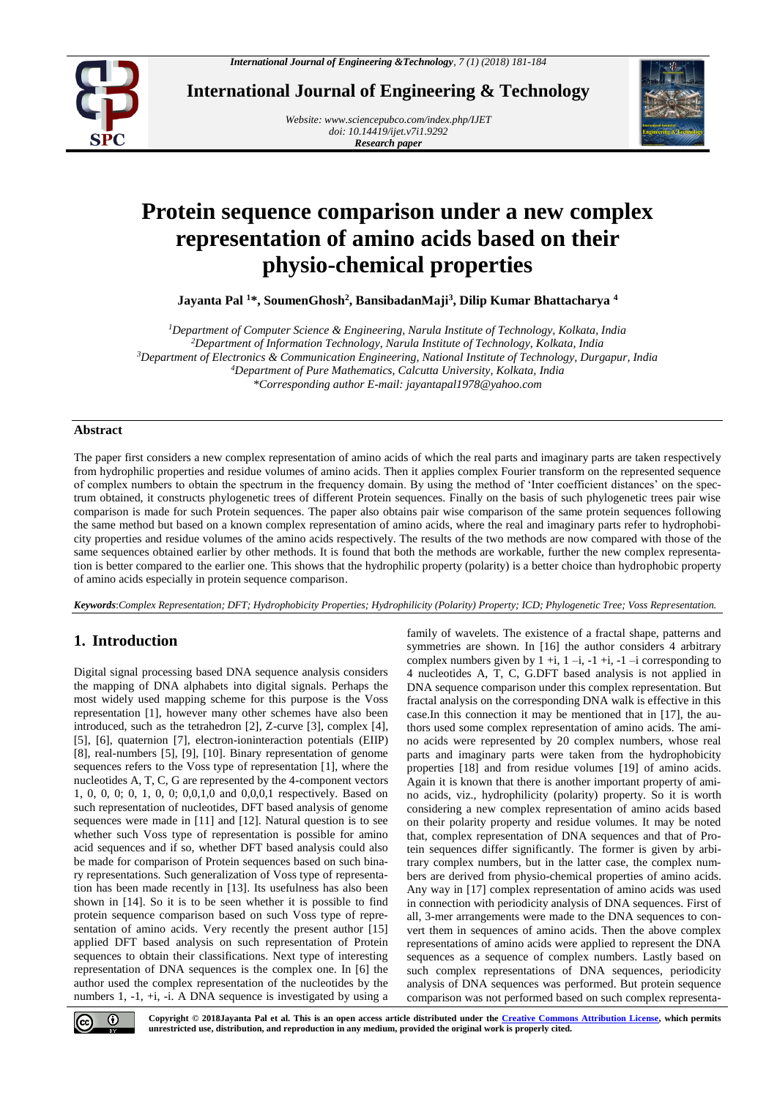

**International Journal of Engineering & Technology**

*Website: [www.sciencepubco.com/index.php/IJET](http://www.sciencepubco.com/index.php/IJET) doi: 10.14419/ijet.v7i1.9292 Research paper*



# **Protein sequence comparison under a new complex representation of amino acids based on their physio-chemical properties**

**Jayanta Pal <sup>1</sup>\*, SoumenGhosh<sup>2</sup> , BansibadanMaji<sup>3</sup> , Dilip Kumar Bhattacharya <sup>4</sup>**

*Department of Computer Science & Engineering, Narula Institute of Technology, Kolkata, India Department of Information Technology, Narula Institute of Technology, Kolkata, India Department of Electronics & Communication Engineering, National Institute of Technology, Durgapur, India Department of Pure Mathematics, Calcutta University, Kolkata, India \*Corresponding author E-mail: jayantapal1978@yahoo.com*

## **Abstract**

The paper first considers a new complex representation of amino acids of which the real parts and imaginary parts are taken respectively from hydrophilic properties and residue volumes of amino acids. Then it applies complex Fourier transform on the represented sequence of complex numbers to obtain the spectrum in the frequency domain. By using the method of 'Inter coefficient distances' on the spectrum obtained, it constructs phylogenetic trees of different Protein sequences. Finally on the basis of such phylogenetic trees pair wise comparison is made for such Protein sequences. The paper also obtains pair wise comparison of the same protein sequences following the same method but based on a known complex representation of amino acids, where the real and imaginary parts refer to hydrophobicity properties and residue volumes of the amino acids respectively. The results of the two methods are now compared with those of the same sequences obtained earlier by other methods. It is found that both the methods are workable, further the new complex representation is better compared to the earlier one. This shows that the hydrophilic property (polarity) is a better choice than hydrophobic property of amino acids especially in protein sequence comparison.

*Keywords*:*Complex Representation; DFT; Hydrophobicity Properties; Hydrophilicity (Polarity) Property; ICD; Phylogenetic Tree; Voss Representation.*

## **1. Introduction**

Digital signal processing based DNA sequence analysis considers the mapping of DNA alphabets into digital signals. Perhaps the most widely used mapping scheme for this purpose is the Voss representation [1], however many other schemes have also been introduced, such as the tetrahedron [2], Z-curve [3], complex [4], [5], [6], quaternion [7], electron-ioninteraction potentials (EIIP) [8], real-numbers [5], [9], [10]. Binary representation of genome sequences refers to the Voss type of representation [1], where the nucleotides A, T, C, G are represented by the 4-component vectors 1, 0, 0, 0; 0, 1, 0, 0; 0,0,1,0 and 0,0,0,1 respectively. Based on such representation of nucleotides, DFT based analysis of genome sequences were made in [11] and [12]. Natural question is to see whether such Voss type of representation is possible for amino acid sequences and if so, whether DFT based analysis could also be made for comparison of Protein sequences based on such binary representations. Such generalization of Voss type of representation has been made recently in [13]. Its usefulness has also been shown in [14]. So it is to be seen whether it is possible to find protein sequence comparison based on such Voss type of representation of amino acids. Very recently the present author [15] applied DFT based analysis on such representation of Protein sequences to obtain their classifications. Next type of interesting representation of DNA sequences is the complex one. In [6] the author used the complex representation of the nucleotides by the numbers 1, -1, +i, -i. A DNA sequence is investigated by using a family of wavelets. The existence of a fractal shape, patterns and symmetries are shown. In [16] the author considers 4 arbitrary complex numbers given by  $1 + i$ ,  $1 - i$ ,  $-1 + i$ ,  $-1 - i$  corresponding to 4 nucleotides A, T, C, G.DFT based analysis is not applied in DNA sequence comparison under this complex representation. But fractal analysis on the corresponding DNA walk is effective in this case.In this connection it may be mentioned that in [17], the authors used some complex representation of amino acids. The amino acids were represented by 20 complex numbers, whose real parts and imaginary parts were taken from the hydrophobicity properties [18] and from residue volumes [19] of amino acids. Again it is known that there is another important property of amino acids, viz., hydrophilicity (polarity) property. So it is worth considering a new complex representation of amino acids based on their polarity property and residue volumes. It may be noted that, complex representation of DNA sequences and that of Protein sequences differ significantly. The former is given by arbitrary complex numbers, but in the latter case, the complex numbers are derived from physio-chemical properties of amino acids. Any way in [17] complex representation of amino acids was used in connection with periodicity analysis of DNA sequences. First of all, 3-mer arrangements were made to the DNA sequences to convert them in sequences of amino acids. Then the above complex representations of amino acids were applied to represent the DNA sequences as a sequence of complex numbers. Lastly based on such complex representations of DNA sequences, periodicity analysis of DNA sequences was performed. But protein sequence comparison was not performed based on such complex representa-

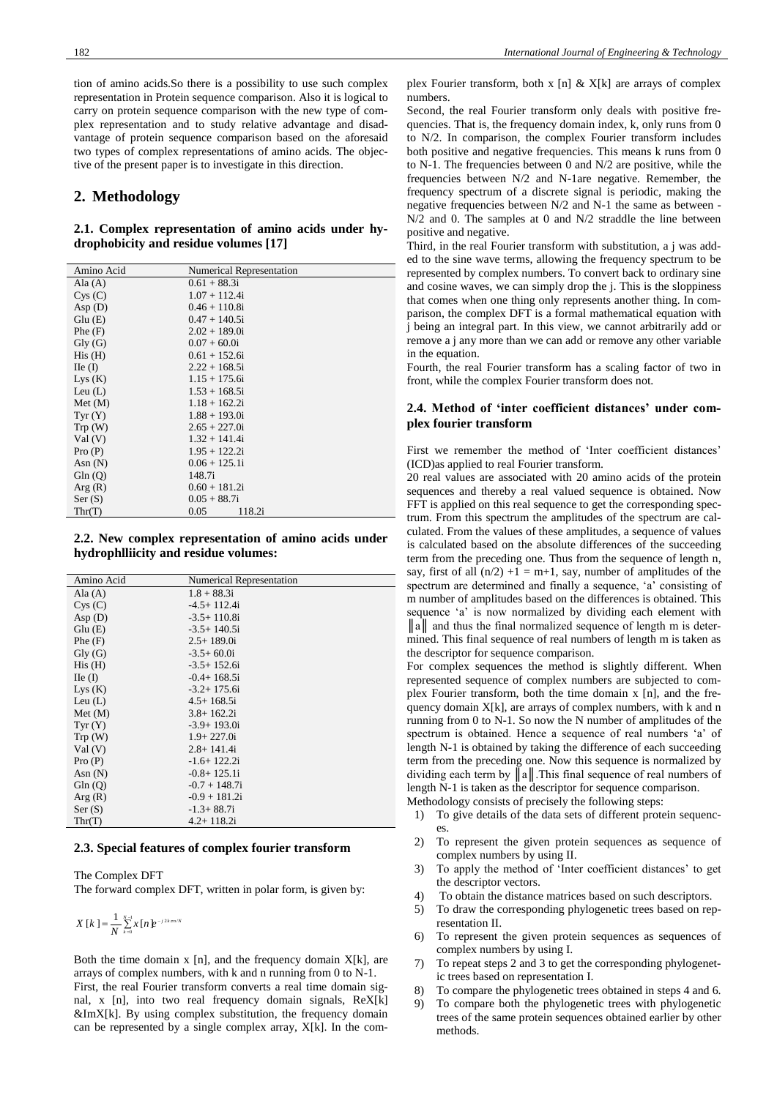tion of amino acids.So there is a possibility to use such complex representation in Protein sequence comparison. Also it is logical to carry on protein sequence comparison with the new type of complex representation and to study relative advantage and disadvantage of protein sequence comparison based on the aforesaid two types of complex representations of amino acids. The objective of the present paper is to investigate in this direction.

## **2. Methodology**

## **2.1. Complex representation of amino acids under hydrophobicity and residue volumes [17]**

| Amino Acid                            | Numerical Representation |
|---------------------------------------|--------------------------|
| Ala $(A)$                             | $0.61 + 88.3i$           |
| Cys(C)                                | $1.07 + 112.4i$          |
| Asp $(D)$                             | $0.46 + 110.8i$          |
| Glu(E)                                | $0.47 + 140.5i$          |
| Phe(F)                                | $2.02 + 189.0i$          |
| $\mathrm{Gly}\left(\mathrm{G}\right)$ | $0.07 + 60.0i$           |
| His(H)                                | $0.61 + 152.6i$          |
| $\text{IIe}(\text{I})$                | $2.22 + 168.5i$          |
| Lys(K)                                | $1.15 + 175.6i$          |
| Leu $(L)$                             | $1.53 + 168.5i$          |
| Met (M)                               | $1.18 + 162.2i$          |
| Tyr(Y)                                | $1.88 + 193.0i$          |
| Trp(W)                                | $2.65 + 227.0i$          |
| Val(V)                                | $1.32 + 141.4i$          |
| Pro(P)                                | $1.95 + 122.2i$          |
| Asn $(N)$                             | $0.06 + 125.1i$          |
| Gln(Q)                                | 148.7i                   |
| Arg(R)                                | $0.60 + 181.2i$          |
| Ser(S)                                | $0.05 + 88.7i$           |
| Thr(T)                                | 0.05<br>118.2i           |

**2.2. New complex representation of amino acids under hydrophlliicity and residue volumes:**

| Amino Acid                            | <b>Numerical Representation</b> |
|---------------------------------------|---------------------------------|
| Ala $(A)$                             | $1.8 + 88.3i$                   |
| Cys(C)                                | $-4.5+112.4i$                   |
| Asp $(D)$                             | $-3.5+110.8i$                   |
| Glu(E)                                | $-3.5+140.5i$                   |
| Phe(F)                                | $2.5+189.0i$                    |
| $\mathrm{Gly}\left(\mathrm{G}\right)$ | $-3.5+60.0i$                    |
| His(H)                                | $-3.5 + 152.6i$                 |
| $\text{IIe}(\text{I})$                | $-0.4+168.5i$                   |
| Lys(K)                                | $-3.2 + 175.6i$                 |
| Leu $(L)$                             | $4.5 + 168.5i$                  |
| Met (M)                               | $3.8 + 162.2i$                  |
| Tyr(Y)                                | $-3.9 + 193.0i$                 |
| Trp(W)                                | $1.9 + 227.0i$                  |
| Val(V)                                | $2.8 + 141.4i$                  |
| Pro(P)                                | $-1.6+122.2i$                   |
| Asn $(N)$                             | $-0.8 + 125.1i$                 |
| Gln(Q)                                | $-0.7 + 148.7i$                 |
| Arg(R)                                | $-0.9 + 181.2i$                 |
| Ser(S)                                | $-1.3 + 88.7i$                  |
| Thr(T)                                | $4.2 + 118.2i$                  |

#### **2.3. Special features of complex fourier transform**

The Complex DFT

The forward complex DFT, written in polar form, is given by:

$$
X[k] = \frac{1}{N} \sum_{k=0}^{N-1} x[n] e^{-j2k\pi n/N}
$$

Both the time domain  $x$  [n], and the frequency domain  $X[k]$ , are arrays of complex numbers, with k and n running from 0 to N-1. First, the real Fourier transform converts a real time domain signal, x [n], into two real frequency domain signals, ReX[k] &ImX[k]. By using complex substitution, the frequency domain can be represented by a single complex array, X[k]. In the complex Fourier transform, both x [n]  $\&$  X[k] are arrays of complex numbers.

Second, the real Fourier transform only deals with positive frequencies. That is, the frequency domain index, k, only runs from 0 to N/2. In comparison, the complex Fourier transform includes both positive and negative frequencies. This means k runs from 0 to N-1. The frequencies between 0 and N/2 are positive, while the frequencies between N/2 and N-1are negative. Remember, the frequency spectrum of a discrete signal is periodic, making the negative frequencies between N/2 and N-1 the same as between - N/2 and 0. The samples at 0 and N/2 straddle the line between positive and negative.

Third, in the real Fourier transform with substitution, a j was added to the sine wave terms, allowing the frequency spectrum to be represented by complex numbers. To convert back to ordinary sine and cosine waves, we can simply drop the j. This is the sloppiness that comes when one thing only represents another thing. In comparison, the complex DFT is a formal mathematical equation with j being an integral part. In this view, we cannot arbitrarily add or remove a j any more than we can add or remove any other variable in the equation.

Fourth, the real Fourier transform has a scaling factor of two in front, while the complex Fourier transform does not.

## **2.4. Method of 'inter coefficient distances' under complex fourier transform**

First we remember the method of 'Inter coefficient distances' (ICD)as applied to real Fourier transform.

20 real values are associated with 20 amino acids of the protein sequences and thereby a real valued sequence is obtained. Now FFT is applied on this real sequence to get the corresponding spectrum. From this spectrum the amplitudes of the spectrum are calculated. From the values of these amplitudes, a sequence of values is calculated based on the absolute differences of the succeeding term from the preceding one. Thus from the sequence of length n, say, first of all  $(n/2) +1 = m+1$ , say, number of amplitudes of the spectrum are determined and finally a sequence, 'a' consisting of m number of amplitudes based on the differences is obtained. This sequence 'a' is now normalized by dividing each element with ||a|| and thus the final normalized sequence of length m is determined. This final sequence of real numbers of length m is taken as the descriptor for sequence comparison.

For complex sequences the method is slightly different. When represented sequence of complex numbers are subjected to complex Fourier transform, both the time domain x [n], and the frequency domain X[k], are arrays of complex numbers, with k and n running from 0 to N-1. So now the N number of amplitudes of the spectrum is obtained. Hence a sequence of real numbers 'a' of length N-1 is obtained by taking the difference of each succeeding term from the preceding one. Now this sequence is normalized by dividing each term by  $\|a\|$ . This final sequence of real numbers of length N-1 is taken as the descriptor for sequence comparison.

- Methodology consists of precisely the following steps:
	- 1) To give details of the data sets of different protein sequences.
- 2) To represent the given protein sequences as sequence of complex numbers by using II.
- 3) To apply the method of 'Inter coefficient distances' to get the descriptor vectors.
- 4) To obtain the distance matrices based on such descriptors.
- 5) To draw the corresponding phylogenetic trees based on representation II.
- 6) To represent the given protein sequences as sequences of complex numbers by using I.
- 7) To repeat steps 2 and 3 to get the corresponding phylogenetic trees based on representation I.
- 8) To compare the phylogenetic trees obtained in steps 4 and 6.
- 9) To compare both the phylogenetic trees with phylogenetic trees of the same protein sequences obtained earlier by other methods.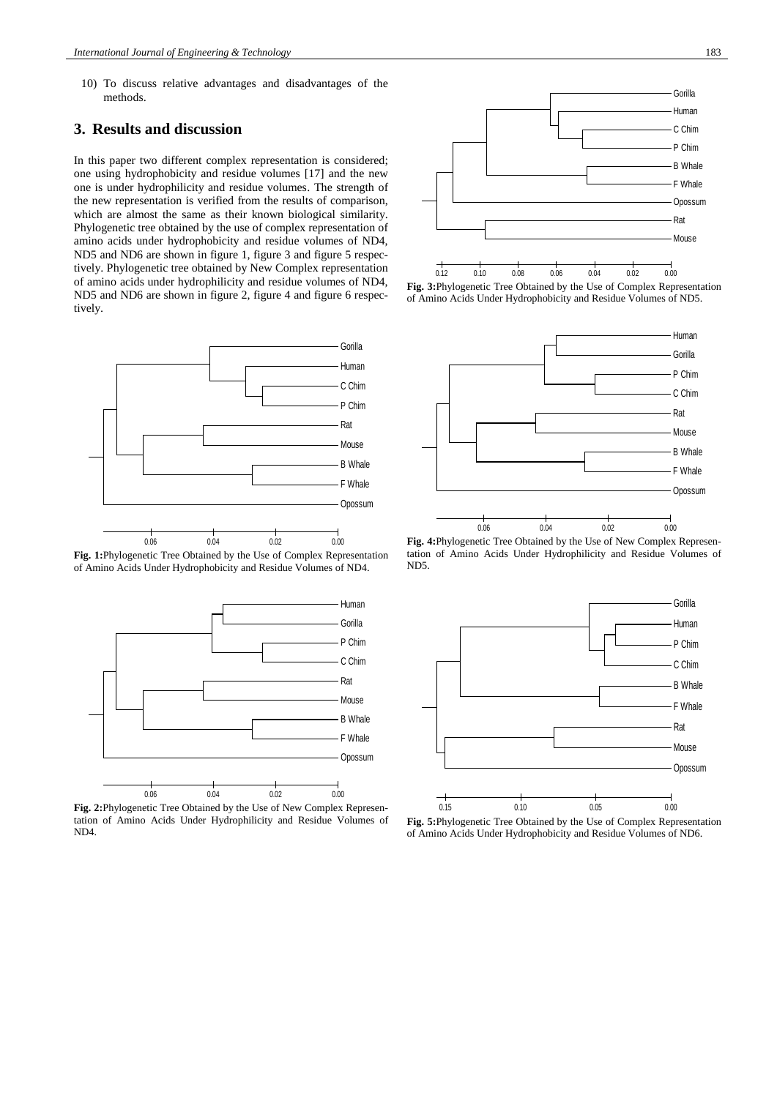10) To discuss relative advantages and disadvantages of the methods.

## **3. Results and discussion**

In this paper two different complex representation is considered; one using hydrophobicity and residue volumes [17] and the new one is under hydrophilicity and residue volumes. The strength of the new representation is verified from the results of comparison, which are almost the same as their known biological similarity. Phylogenetic tree obtained by the use of complex representation of amino acids under hydrophobicity and residue volumes of ND4, ND5 and ND6 are shown in figure 1, figure 3 and figure 5 respectively. Phylogenetic tree obtained by New Complex representation of amino acids under hydrophilicity and residue volumes of ND4, ND5 and ND6 are shown in figure 2, figure 4 and figure 6 respectively.



**Fig. 1:**Phylogenetic Tree Obtained by the Use of Complex Representation of Amino Acids Under Hydrophobicity and Residue Volumes of ND4.



**Fig. 2:**Phylogenetic Tree Obtained by the Use of New Complex Representation of Amino Acids Under Hydrophilicity and Residue Volumes of ND4.



**Fig. 3:**Phylogenetic Tree Obtained by the Use of Complex Representation of Amino Acids Under Hydrophobicity and Residue Volumes of ND5.



**Fig. 4:**Phylogenetic Tree Obtained by the Use of New Complex Representation of Amino Acids Under Hydrophilicity and Residue Volumes of ND5.



**Fig. 5:**Phylogenetic Tree Obtained by the Use of Complex Representation of Amino Acids Under Hydrophobicity and Residue Volumes of ND6.